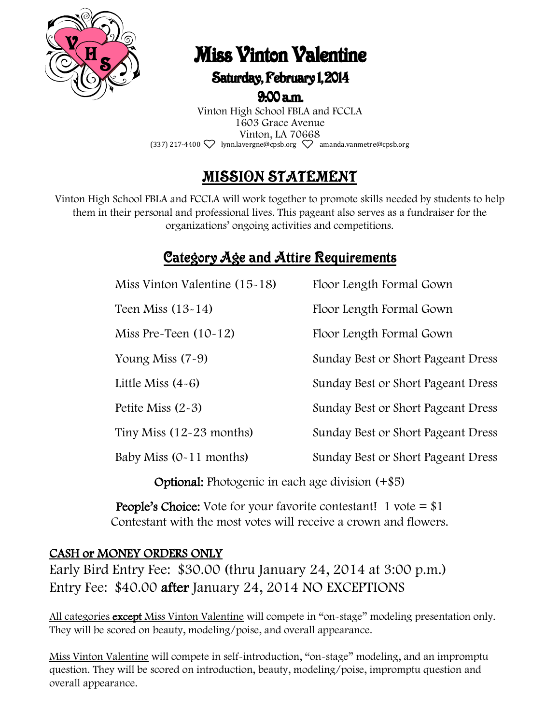

# **Miss Vinton Valentine**

### Saturday, February 1, 2014

 $9.00 a.m.$ 

Vinton High School FBLA and FCCLA 1603 Grace Avenue Vinton, LA 70668 (337) 217-4400  $\heartsuit$  lynn.lavergne@cpsb.org  $\heartsuit$  amanda.vanmetre@cpsb.org

## MISSION STATEMENT

Vinton High School FBLA and FCCLA will work together to promote skills needed by students to help them in their personal and professional lives. This pageant also serves as a fundraiser for the organizations' ongoing activities and competitions.

## **Category Age and Attire Requirements**

| Miss Vinton Valentine $(15-18)$ | Floor Length Formal Gown           |
|---------------------------------|------------------------------------|
| Teen Miss $(13-14)$             | Floor Length Formal Gown           |
| Miss Pre-Teen $(10-12)$         | Floor Length Formal Gown           |
| Young Miss $(7-9)$              | Sunday Best or Short Pageant Dress |
| Little Miss $(4-6)$             | Sunday Best or Short Pageant Dress |
| Petite Miss $(2-3)$             | Sunday Best or Short Pageant Dress |
| Tiny Miss $(12-23$ months)      | Sunday Best or Short Pageant Dress |
| Baby Miss $(0-11$ months)       | Sunday Best or Short Pageant Dress |
|                                 |                                    |

Optional: Photogenic in each age division (+\$5)

**People's Choice:** Vote for your favorite contestant! 1 vote  $=$  \$1 Contestant with the most votes will receive a crown and flowers.

#### CASH or MONEY ORDERS ONLY

Early Bird Entry Fee: \$30.00 (thru January 24, 2014 at 3:00 p.m.) Entry Fee: \$40.00 after January 24, 2014 NO EXCEPTIONS

All categories except Miss Vinton Valentine will compete in "on-stage" modeling presentation only. They will be scored on beauty, modeling/poise, and overall appearance.

Miss Vinton Valentine will compete in self-introduction, "on-stage" modeling, and an impromptu question. They will be scored on introduction, beauty, modeling/poise, impromptu question and overall appearance.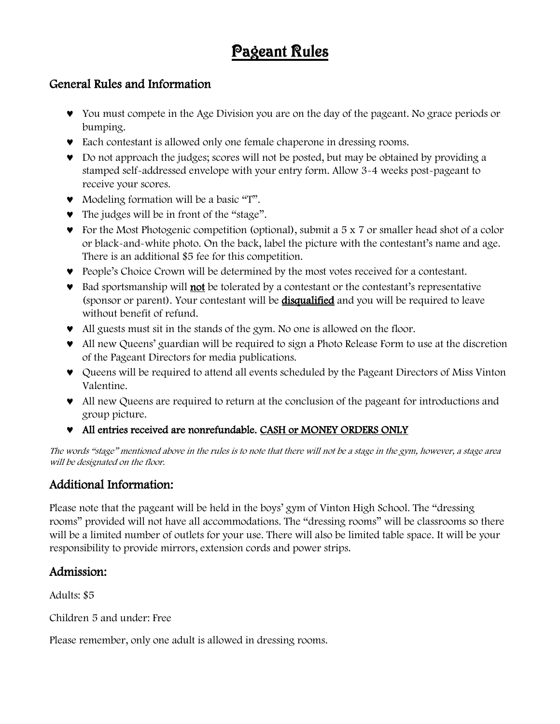## Pageant Rules

#### General Rules and Information

- You must compete in the Age Division you are on the day of the pageant. No grace periods or bumping.
- Each contestant is allowed only one female chaperone in dressing rooms.
- Do not approach the judges; scores will not be posted, but may be obtained by providing a stamped self-addressed envelope with your entry form. Allow 3-4 weeks post-pageant to receive your scores.
- Modeling formation will be a basic "T".
- The judges will be in front of the "stage".
- For the Most Photogenic competition (optional), submit a 5 x 7 or smaller head shot of a color or black-and-white photo. On the back, label the picture with the contestant's name and age. There is an additional \$5 fee for this competition.
- People's Choice Crown will be determined by the most votes received for a contestant.
- Bad sportsmanship will not be tolerated by a contestant or the contestant's representative (sponsor or parent). Your contestant will be **disqualified** and you will be required to leave without benefit of refund.
- All guests must sit in the stands of the gym. No one is allowed on the floor.
- All new Queens' guardian will be required to sign a Photo Release Form to use at the discretion of the Pageant Directors for media publications.
- Queens will be required to attend all events scheduled by the Pageant Directors of Miss Vinton Valentine.
- All new Queens are required to return at the conclusion of the pageant for introductions and group picture.
- All entries received are nonrefundable. CASH or MONEY ORDERS ONLY

The words "stage" mentioned above in the rules is to note that there will not be a stage in the gym, however, a stage area will be designated on the floor.

#### Additional Information:

Please note that the pageant will be held in the boys' gym of Vinton High School. The "dressing rooms" provided will not have all accommodations. The "dressing rooms" will be classrooms so there will be a limited number of outlets for your use. There will also be limited table space. It will be your responsibility to provide mirrors, extension cords and power strips.

#### Admission:

Adults: \$5

Children 5 and under: Free

Please remember, only one adult is allowed in dressing rooms.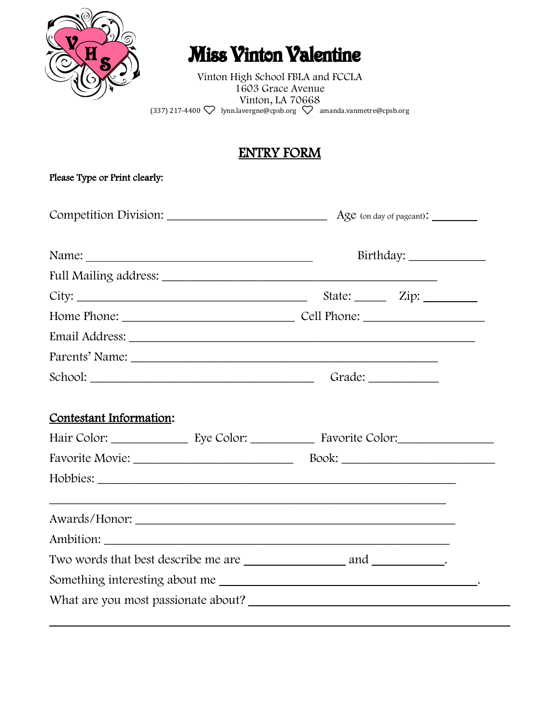

## **Miss Vinton Valentine**

Vinton High School FBLA and FCCLA 1603 Grace Avenue Vinton, LA 70668 (337) 217-4400  $\bigvee$  lynn.lavergne@cpsb.org  $\bigvee$  amanda.vanmetre@cpsb.org

#### ENTRY FORM

| Please Type or Print clearly: |  |                                    |  |
|-------------------------------|--|------------------------------------|--|
| Competition Division:         |  | Age (on day of pageant): _________ |  |
|                               |  |                                    |  |
|                               |  |                                    |  |
|                               |  |                                    |  |
|                               |  |                                    |  |
|                               |  |                                    |  |
|                               |  |                                    |  |
|                               |  |                                    |  |
| Contestant Information:       |  |                                    |  |
|                               |  |                                    |  |
|                               |  |                                    |  |
|                               |  |                                    |  |
|                               |  |                                    |  |
|                               |  |                                    |  |
|                               |  |                                    |  |
|                               |  |                                    |  |